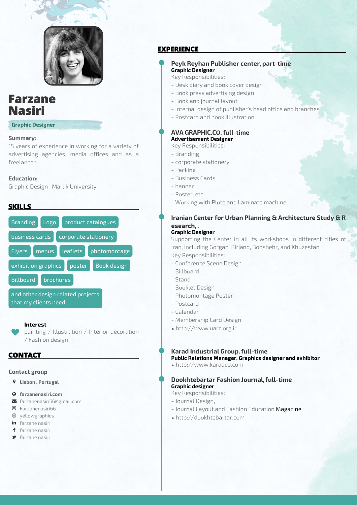

# **Farzane Nasiri**

**Graphic Designer**

### **Summary:**

15 years of experience in working for a variety of advertising agencies, media offices and as a freelancer.

### **Education:**

Graphic Design- Marlik University

# **SKILLS**



### **Interest**

painting / Illustration / Interior decoration / Fashion design

## **CONTACT**

 $\blacktriangledown$ 

### **Contact group**

- **Lisbon , Portugal**
- **farzanenasiri.com**
- farzanenasiri66@gmail.com
- Farzanenasiri66
- yellowgraphics in farzane nasiri
- f farzane nasiri
- 
- farzane nasiri

# **EXPERIENCE**

### **Peyk Reyhan Publisher center, part-time Graphic Designer**

Key Responsibilities:

- Desk diary and book cover design
- Book press advertising design
- Book and journal layout
- Internal design of publisher's head office and branches
- Postcard and book illustration.

#### **AVA GRAPHIC.CO, full-time Advertisement Designer**

- Key Responsibilities:
- Branding
- corporate stationery
- Packing
- Business Cards
- banner
- Poster, etc
- Working with Plote and Laminate machine

# **Iranian Center for Urban Planning & Architecture Study & R esearch, .**

### **Graphic Designer**

Supporting the Center in all its workshops in different cities of Iran, including Gorgan, Birjand, Booshehr, and Khuzestan. Key Responsibilities:

- Conference Scene Design
- Billboard
- Stand
- Booklet Design
- Photomontage Poster
- Postcard
- Calendar
- Membership Card Design
- http://www.uarc.org.ir

### **Karad Industrial Group, full-time**

**Public Relations Manager, Graphics designer and exhibitor**

• http://www.karadco.com

### **Dookhtebartar Fashion Journal, full-time Graphic designer**

## Key Responsibilities:

- Journal Design,
- Journal Layout and Fashion Education Magazine
- http://dookhtebartar.com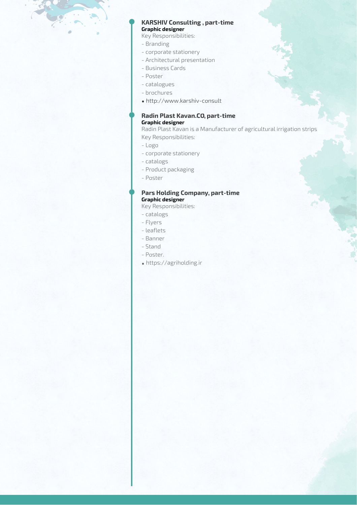### **KARSHIV Consulting , part-time Graphic designer**

Key Responsibilities:

- Branding
- corporate stationery
- Architectural presentation
- Business Cards
- Poster
- catalogues
- brochures
- http://www.karshiv-consult

### **Radin Plast Kavan.CO, part-time Graphic designer**

Radin Plast Kavan is a Manufacturer of agricultural irrigation strips Key Responsibilities:

- Logo
- corporate stationery
- catalogs
- Product packaging
- Poster

### **Pars Holding Company, part-time Graphic designer**

Key Responsibilities:

- catalogs
- Flyers
- leaflets
- Banner
- Stand
- Poster.
- https://agriholding.ir